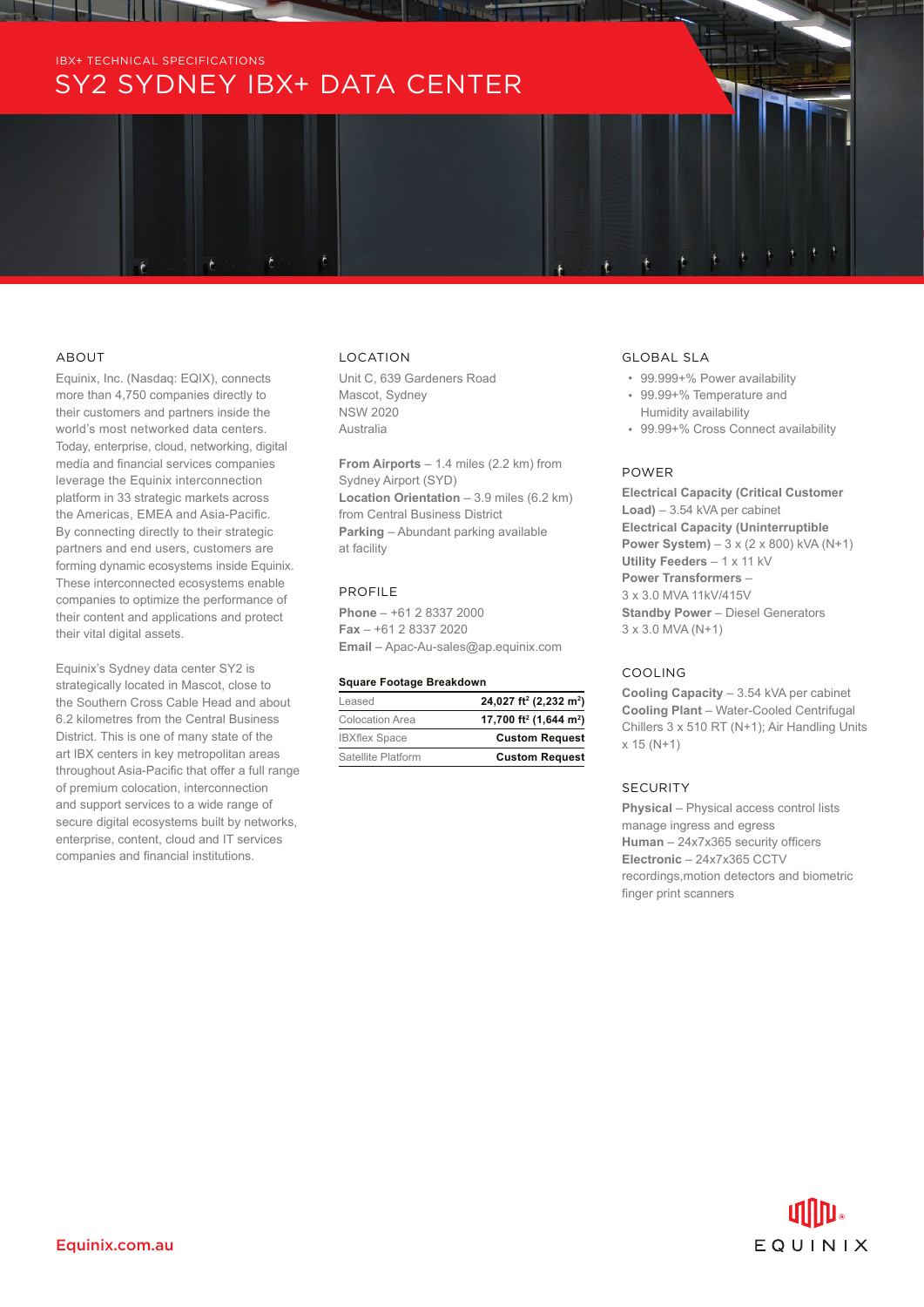# ABOUT

Equinix, Inc. (Nasdaq: EQIX), connects more than 4,750 companies directly to their customers and partners inside the world's most networked data centers. Today, enterprise, cloud, networking, digital media and financial services companies leverage the Equinix interconnection platform in 33 strategic markets across the Americas, EMEA and Asia-Pacific. By connecting directly to their strategic partners and end users, customers are forming dynamic ecosystems inside Equinix. These interconnected ecosystems enable companies to optimize the performance of their content and applications and protect their vital digital assets.

Equinix's Sydney data center SY2 is strategically located in Mascot, close to the Southern Cross Cable Head and about 6.2 kilometres from the Central Business District. This is one of many state of the art IBX centers in key metropolitan areas throughout Asia-Pacific that offer a full range of premium colocation, interconnection and support services to a wide range of secure digital ecosystems built by networks, enterprise, content, cloud and IT services companies and financial institutions.

## LOCATION

Unit C, 639 Gardeners Road Mascot, Sydney NSW 2020 Australia

**From Airports** – 1.4 miles (2.2 km) from Sydney Airport (SYD) **Location Orientation** – 3.9 miles (6.2 km) from Central Business District **Parking** – Abundant parking available at facility

## PROFILE

**Phone** – +61 2 8337 2000 **Fax** – +61 2 8337 2020 **Email** – Apac-Au-sales@ap.equinix.com

#### **Square Footage Breakdown**

| Leased               | 24,027 ft <sup>2</sup> (2,232 m <sup>2</sup> ) |
|----------------------|------------------------------------------------|
| Colocation Area      | 17,700 ft <sup>2</sup> (1,644 m <sup>2</sup> ) |
| <b>IBXflex Space</b> | <b>Custom Request</b>                          |
| Satellite Platform   | <b>Custom Request</b>                          |

### GLOBAL SLA

- 99.999+% Power availability
- 99.99+% Temperature and Humidity availability
- 99.99+% Cross Connect availability

# POWER

**Electrical Capacity (Critical Customer Load)** – 3.54 kVA per cabinet **Electrical Capacity (Uninterruptible Power System)** – 3 x (2 x 800) kVA (N+1) **Utility Feeders** – 1 x 11 kV **Power Transformers** – 3 x 3.0 MVA 11kV/415V **Standby Power** – Diesel Generators 3 x 3.0 MVA (N+1)

#### COOLING

**Cooling Capacity** – 3.54 kVA per cabinet **Cooling Plant** – Water-Cooled Centrifugal Chillers 3 x 510 RT (N+1); Air Handling Units x 15 (N+1)

## **SECURITY**

**Physical** – Physical access control lists manage ingress and egress **Human** – 24x7x365 security officers **Electronic** – 24x7x365 CCTV recordings,motion detectors and biometric finger print scanners